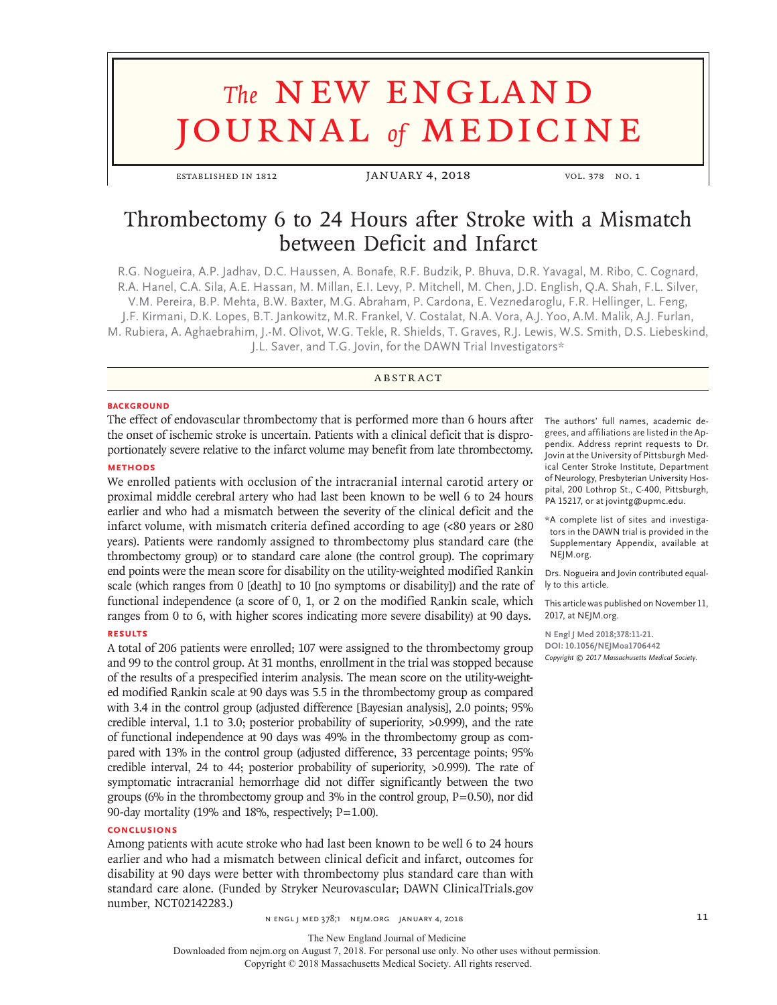# **The NEW ENGLAND** journal *of* medicine

ESTABLISHED IN 1812 JANUARY 4, 2018 VOL. 378 NO. 1

# Thrombectomy 6 to 24 Hours after Stroke with a Mismatch between Deficit and Infarct

R.G. Nogueira, A.P. Jadhav, D.C. Haussen, A. Bonafe, R.F. Budzik, P. Bhuva, D.R. Yavagal, M. Ribo, C. Cognard, R.A. Hanel, C.A. Sila, A.E. Hassan, M. Millan, E.I. Levy, P. Mitchell, M. Chen, J.D. English, Q.A. Shah, F.L. Silver, V.M. Pereira, B.P. Mehta, B.W. Baxter, M.G. Abraham, P. Cardona, E. Veznedaroglu, F.R. Hellinger, L. Feng, J.F. Kirmani, D.K. Lopes, B.T. Jankowitz, M.R. Frankel, V. Costalat, N.A. Vora, A.J. Yoo, A.M. Malik, A.J. Furlan, M. Rubiera, A. Aghaebrahim, J.-M. Olivot, W.G. Tekle, R. Shields, T. Graves, R.J. Lewis, W.S. Smith, D.S. Liebeskind, J.L. Saver, and T.G. Jovin, for the DAWN Trial Investigators\*

# **ABSTRACT**

#### **BACKGROUND**

The effect of endovascular thrombectomy that is performed more than 6 hours after the onset of ischemic stroke is uncertain. Patients with a clinical deficit that is disproportionately severe relative to the infarct volume may benefit from late thrombectomy.

# **METHODS**

We enrolled patients with occlusion of the intracranial internal carotid artery or proximal middle cerebral artery who had last been known to be well 6 to 24 hours earlier and who had a mismatch between the severity of the clinical deficit and the infarct volume, with mismatch criteria defined according to age (<80 years or  $\geq 80$ years). Patients were randomly assigned to thrombectomy plus standard care (the thrombectomy group) or to standard care alone (the control group). The coprimary end points were the mean score for disability on the utility-weighted modified Rankin scale (which ranges from 0 [death] to 10 [no symptoms or disability]) and the rate of functional independence (a score of 0, 1, or 2 on the modified Rankin scale, which ranges from 0 to 6, with higher scores indicating more severe disability) at 90 days.

# **RESULTS**

A total of 206 patients were enrolled; 107 were assigned to the thrombectomy group and 99 to the control group. At 31 months, enrollment in the trial was stopped because of the results of a prespecified interim analysis. The mean score on the utility-weighted modified Rankin scale at 90 days was 5.5 in the thrombectomy group as compared with 3.4 in the control group (adjusted difference [Bayesian analysis], 2.0 points; 95% credible interval, 1.1 to 3.0; posterior probability of superiority, >0.999), and the rate of functional independence at 90 days was 49% in the thrombectomy group as compared with 13% in the control group (adjusted difference, 33 percentage points; 95% credible interval, 24 to 44; posterior probability of superiority, >0.999). The rate of symptomatic intracranial hemorrhage did not differ significantly between the two groups (6% in the thrombectomy group and 3% in the control group,  $P=0.50$ ), nor did 90-day mortality (19% and 18%, respectively;  $P=1.00$ ).

#### **CONCLUSIONS**

Among patients with acute stroke who had last been known to be well 6 to 24 hours earlier and who had a mismatch between clinical deficit and infarct, outcomes for disability at 90 days were better with thrombectomy plus standard care than with standard care alone. (Funded by Stryker Neurovascular; DAWN ClinicalTrials.gov number, NCT02142283.)

 $N$  engl j med 378;1  $N$  equals are produced as a set of  $10$  and  $11$ 

The authors' full names, academic degrees, and affiliations are listed in the Appendix. Address reprint requests to Dr. Jovin at the University of Pittsburgh Medical Center Stroke Institute, Department of Neurology, Presbyterian University Hospital, 200 Lothrop St., C-400, Pittsburgh, PA 15217, or at jovintg@upmc.edu.

\* A complete list of sites and investigators in the DAWN trial is provided in the Supplementary Appendix, available at NEJM.org.

Drs. Nogueira and Jovin contributed equally to this article.

This article was published on November 11, 2017, at NEJM.org.

**N Engl J Med 2018;378:11-21. DOI: 10.1056/NEJMoa1706442** *Copyright © 2017 Massachusetts Medical Society.*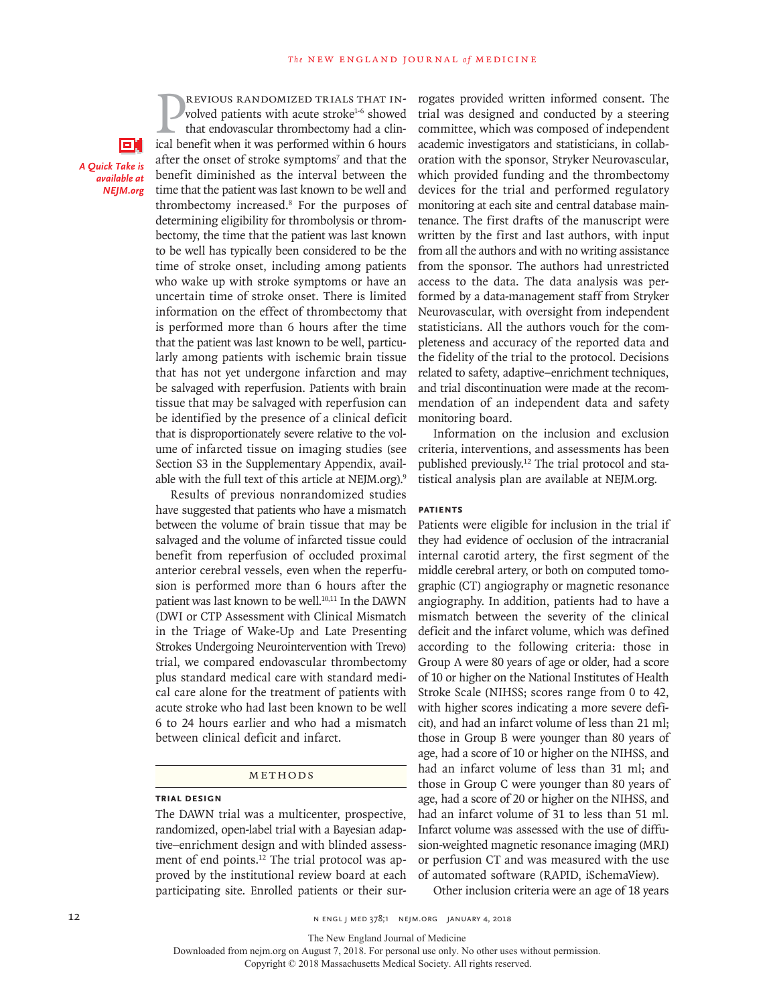EН *A Quick Take is NEIM org NEJM.org* 

**EVIOUS RANDOMIZED TRIALS THAT INvolved patients with acute stroke<sup>1-6</sup> showed that endovascular thrombectomy had a clinical benefit when it was performed within 6 hours** revious randomized trials that involved patients with acute stroke<sup>1-6</sup> showed that endovascular thrombectomy had a clinafter the onset of stroke symptoms<sup>7</sup> and that the benefit diminished as the interval between the time that the patient was last known to be well and thrombectomy increased.8 For the purposes of determining eligibility for thrombolysis or thrombectomy, the time that the patient was last known to be well has typically been considered to be the time of stroke onset, including among patients who wake up with stroke symptoms or have an uncertain time of stroke onset. There is limited information on the effect of thrombectomy that is performed more than 6 hours after the time that the patient was last known to be well, particularly among patients with ischemic brain tissue that has not yet undergone infarction and may be salvaged with reperfusion. Patients with brain tissue that may be salvaged with reperfusion can be identified by the presence of a clinical deficit that is disproportionately severe relative to the volume of infarcted tissue on imaging studies (see Section S3 in the Supplementary Appendix, available with the full text of this article at NEJM.org).<sup>9</sup>

Results of previous nonrandomized studies have suggested that patients who have a mismatch between the volume of brain tissue that may be salvaged and the volume of infarcted tissue could benefit from reperfusion of occluded proximal anterior cerebral vessels, even when the reperfusion is performed more than 6 hours after the patient was last known to be well.<sup>10,11</sup> In the DAWN (DWI or CTP Assessment with Clinical Mismatch in the Triage of Wake-Up and Late Presenting Strokes Undergoing Neurointervention with Trevo) trial, we compared endovascular thrombectomy plus standard medical care with standard medical care alone for the treatment of patients with acute stroke who had last been known to be well 6 to 24 hours earlier and who had a mismatch between clinical deficit and infarct.

#### METHODS

### **Trial Design**

The DAWN trial was a multicenter, prospective, randomized, open-label trial with a Bayesian adaptive–enrichment design and with blinded assessment of end points.<sup>12</sup> The trial protocol was approved by the institutional review board at each participating site. Enrolled patients or their surrogates provided written informed consent. The trial was designed and conducted by a steering committee, which was composed of independent academic investigators and statisticians, in collaboration with the sponsor, Stryker Neurovascular, which provided funding and the thrombectomy devices for the trial and performed regulatory monitoring at each site and central database maintenance. The first drafts of the manuscript were written by the first and last authors, with input from all the authors and with no writing assistance from the sponsor. The authors had unrestricted access to the data. The data analysis was performed by a data-management staff from Stryker Neurovascular, with oversight from independent statisticians. All the authors vouch for the completeness and accuracy of the reported data and the fidelity of the trial to the protocol. Decisions related to safety, adaptive–enrichment techniques, and trial discontinuation were made at the recommendation of an independent data and safety monitoring board.

Information on the inclusion and exclusion criteria, interventions, and assessments has been published previously.12 The trial protocol and statistical analysis plan are available at NEJM.org.

#### **Patients**

Patients were eligible for inclusion in the trial if they had evidence of occlusion of the intracranial internal carotid artery, the first segment of the middle cerebral artery, or both on computed tomographic (CT) angiography or magnetic resonance angiography. In addition, patients had to have a mismatch between the severity of the clinical deficit and the infarct volume, which was defined according to the following criteria: those in Group A were 80 years of age or older, had a score of 10 or higher on the National Institutes of Health Stroke Scale (NIHSS; scores range from 0 to 42, with higher scores indicating a more severe deficit), and had an infarct volume of less than 21 ml; those in Group B were younger than 80 years of age, had a score of 10 or higher on the NIHSS, and had an infarct volume of less than 31 ml; and those in Group C were younger than 80 years of age, had a score of 20 or higher on the NIHSS, and had an infarct volume of 31 to less than 51 ml. Infarct volume was assessed with the use of diffusion-weighted magnetic resonance imaging (MRI) or perfusion CT and was measured with the use of automated software (RAPID, iSchemaView).

Other inclusion criteria were an age of 18 years

12 **12** N ENGL J MED 378;1 NEJM.ORG JANUARY 4, 2018

The New England Journal of Medicine

Downloaded from nejm.org on August 7, 2018. For personal use only. No other uses without permission.

Copyright © 2018 Massachusetts Medical Society. All rights reserved.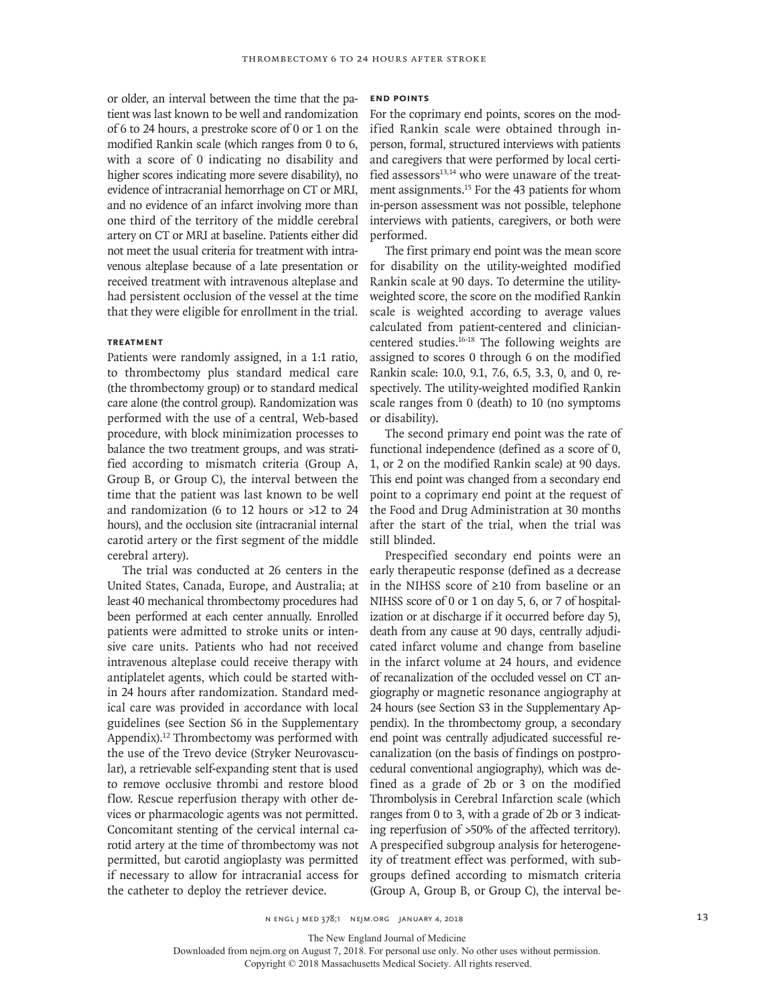or older, an interval between the time that the patient was last known to be well and randomization of 6 to 24 hours, a prestroke score of 0 or 1 on the modified Rankin scale (which ranges from 0 to 6, with a score of 0 indicating no disability and higher scores indicating more severe disability), no evidence of intracranial hemorrhage on CT or MRI, and no evidence of an infarct involving more than one third of the territory of the middle cerebral artery on CT or MRI at baseline. Patients either did not meet the usual criteria for treatment with intravenous alteplase because of a late presentation or received treatment with intravenous alteplase and had persistent occlusion of the vessel at the time that they were eligible for enrollment in the trial.

# **Treatment**

Patients were randomly assigned, in a 1:1 ratio, to thrombectomy plus standard medical care (the thrombectomy group) or to standard medical care alone (the control group). Randomization was performed with the use of a central, Web-based procedure, with block minimization processes to balance the two treatment groups, and was stratified according to mismatch criteria (Group A, Group B, or Group C), the interval between the time that the patient was last known to be well and randomization (6 to 12 hours or >12 to 24 hours), and the occlusion site (intracranial internal carotid artery or the first segment of the middle cerebral artery).

The trial was conducted at 26 centers in the United States, Canada, Europe, and Australia; at least 40 mechanical thrombectomy procedures had been performed at each center annually. Enrolled patients were admitted to stroke units or intensive care units. Patients who had not received intravenous alteplase could receive therapy with antiplatelet agents, which could be started within 24 hours after randomization. Standard medical care was provided in accordance with local guidelines (see Section S6 in the Supplementary Appendix).12 Thrombectomy was performed with the use of the Trevo device (Stryker Neurovascular), a retrievable self-expanding stent that is used to remove occlusive thrombi and restore blood flow. Rescue reperfusion therapy with other devices or pharmacologic agents was not permitted. Concomitant stenting of the cervical internal carotid artery at the time of thrombectomy was not permitted, but carotid angioplasty was permitted if necessary to allow for intracranial access for the catheter to deploy the retriever device.

#### **End Points**

For the coprimary end points, scores on the modified Rankin scale were obtained through inperson, formal, structured interviews with patients and caregivers that were performed by local certified assessors<sup>13,14</sup> who were unaware of the treatment assignments.<sup>15</sup> For the 43 patients for whom in-person assessment was not possible, telephone interviews with patients, caregivers, or both were performed.

The first primary end point was the mean score for disability on the utility-weighted modified Rankin scale at 90 days. To determine the utilityweighted score, the score on the modified Rankin scale is weighted according to average values calculated from patient-centered and cliniciancentered studies.16-18 The following weights are assigned to scores 0 through 6 on the modified Rankin scale: 10.0, 9.1, 7.6, 6.5, 3.3, 0, and 0, respectively. The utility-weighted modified Rankin scale ranges from 0 (death) to 10 (no symptoms or disability).

The second primary end point was the rate of functional independence (defined as a score of 0, 1, or 2 on the modified Rankin scale) at 90 days. This end point was changed from a secondary end point to a coprimary end point at the request of the Food and Drug Administration at 30 months after the start of the trial, when the trial was still blinded.

Prespecified secondary end points were an early therapeutic response (defined as a decrease in the NIHSS score of ≥10 from baseline or an NIHSS score of 0 or 1 on day 5, 6, or 7 of hospitalization or at discharge if it occurred before day 5), death from any cause at 90 days, centrally adjudicated infarct volume and change from baseline in the infarct volume at 24 hours, and evidence of recanalization of the occluded vessel on CT angiography or magnetic resonance angiography at 24 hours (see Section S3 in the Supplementary Appendix). In the thrombectomy group, a secondary end point was centrally adjudicated successful recanalization (on the basis of findings on postprocedural conventional angiography), which was defined as a grade of 2b or 3 on the modified Thrombolysis in Cerebral Infarction scale (which ranges from 0 to 3, with a grade of 2b or 3 indicating reperfusion of >50% of the affected territory). A prespecified subgroup analysis for heterogeneity of treatment effect was performed, with subgroups defined according to mismatch criteria (Group A, Group B, or Group C), the interval be-

 $N$  engl j med 378;1  $N$  equals are produced as a set of  $13$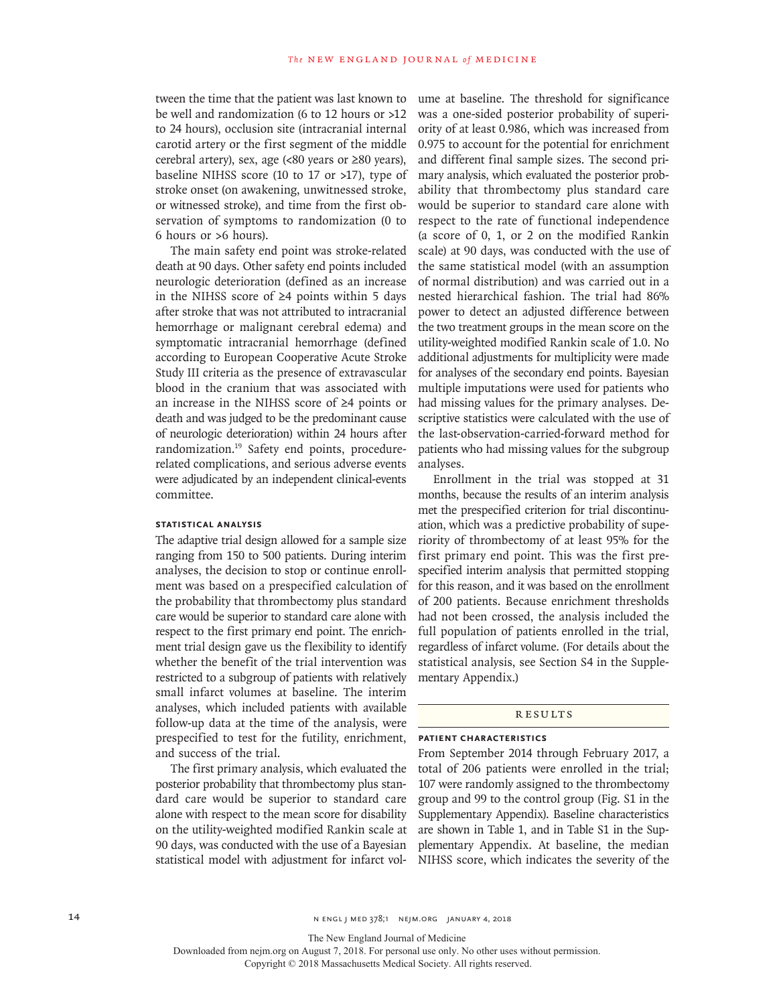tween the time that the patient was last known to be well and randomization (6 to 12 hours or >12 to 24 hours), occlusion site (intracranial internal carotid artery or the first segment of the middle cerebral artery), sex, age (<80 years or ≥80 years), baseline NIHSS score (10 to 17 or >17), type of stroke onset (on awakening, unwitnessed stroke, or witnessed stroke), and time from the first observation of symptoms to randomization (0 to 6 hours or >6 hours).

The main safety end point was stroke-related death at 90 days. Other safety end points included neurologic deterioration (defined as an increase in the NIHSS score of ≥4 points within 5 days after stroke that was not attributed to intracranial hemorrhage or malignant cerebral edema) and symptomatic intracranial hemorrhage (defined according to European Cooperative Acute Stroke Study III criteria as the presence of extravascular blood in the cranium that was associated with an increase in the NIHSS score of ≥4 points or death and was judged to be the predominant cause of neurologic deterioration) within 24 hours after randomization.19 Safety end points, procedurerelated complications, and serious adverse events were adjudicated by an independent clinical-events committee.

#### **Statistical Analysis**

The adaptive trial design allowed for a sample size ranging from 150 to 500 patients. During interim analyses, the decision to stop or continue enrollment was based on a prespecified calculation of the probability that thrombectomy plus standard care would be superior to standard care alone with respect to the first primary end point. The enrichment trial design gave us the flexibility to identify whether the benefit of the trial intervention was restricted to a subgroup of patients with relatively small infarct volumes at baseline. The interim analyses, which included patients with available follow-up data at the time of the analysis, were prespecified to test for the futility, enrichment, and success of the trial.

The first primary analysis, which evaluated the posterior probability that thrombectomy plus standard care would be superior to standard care alone with respect to the mean score for disability on the utility-weighted modified Rankin scale at 90 days, was conducted with the use of a Bayesian statistical model with adjustment for infarct volume at baseline. The threshold for significance was a one-sided posterior probability of superiority of at least 0.986, which was increased from 0.975 to account for the potential for enrichment and different final sample sizes. The second primary analysis, which evaluated the posterior probability that thrombectomy plus standard care would be superior to standard care alone with respect to the rate of functional independence (a score of 0, 1, or 2 on the modified Rankin scale) at 90 days, was conducted with the use of the same statistical model (with an assumption of normal distribution) and was carried out in a nested hierarchical fashion. The trial had 86% power to detect an adjusted difference between the two treatment groups in the mean score on the utility-weighted modified Rankin scale of 1.0. No additional adjustments for multiplicity were made for analyses of the secondary end points. Bayesian multiple imputations were used for patients who had missing values for the primary analyses. Descriptive statistics were calculated with the use of the last-observation-carried-forward method for patients who had missing values for the subgroup analyses.

Enrollment in the trial was stopped at 31 months, because the results of an interim analysis met the prespecified criterion for trial discontinuation, which was a predictive probability of superiority of thrombectomy of at least 95% for the first primary end point. This was the first prespecified interim analysis that permitted stopping for this reason, and it was based on the enrollment of 200 patients. Because enrichment thresholds had not been crossed, the analysis included the full population of patients enrolled in the trial, regardless of infarct volume. (For details about the statistical analysis, see Section S4 in the Supplementary Appendix.)

#### **RESULTS**

## **Patient Characteristics**

From September 2014 through February 2017, a total of 206 patients were enrolled in the trial; 107 were randomly assigned to the thrombectomy group and 99 to the control group (Fig. S1 in the Supplementary Appendix). Baseline characteristics are shown in Table 1, and in Table S1 in the Supplementary Appendix. At baseline, the median NIHSS score, which indicates the severity of the

14 **14** N ENGL J MED 378;1 NEJM.ORG JANUARY 4, 2018

The New England Journal of Medicine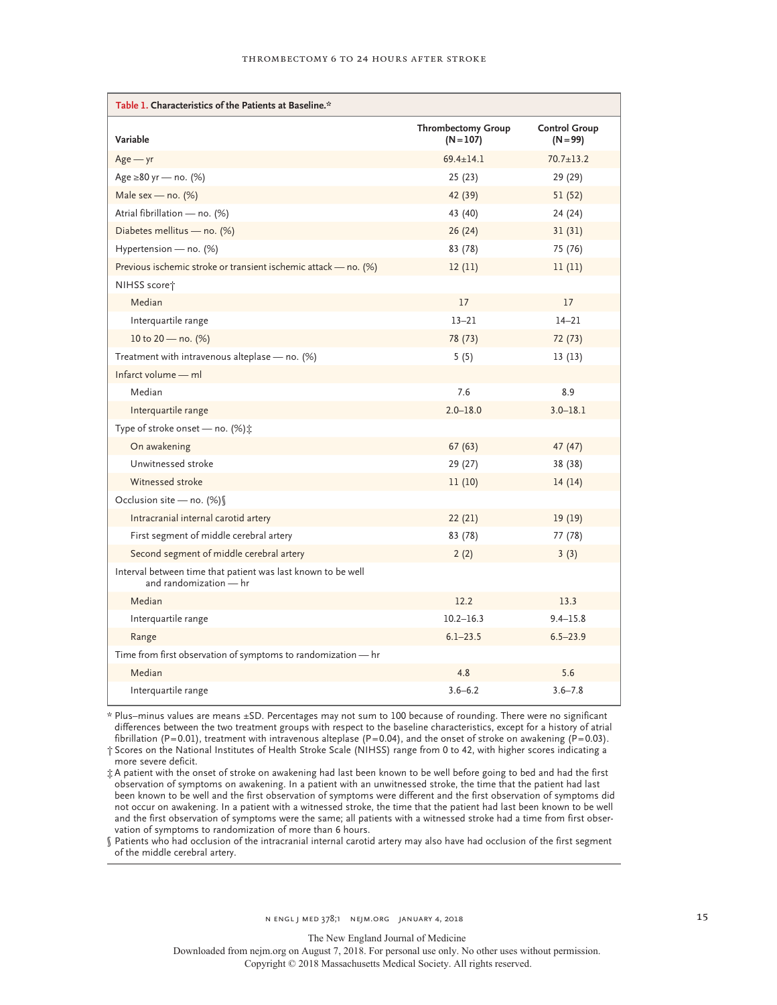| Table 1. Characteristics of the Patients at Baseline.*                                 |                                          |                                    |  |  |  |
|----------------------------------------------------------------------------------------|------------------------------------------|------------------------------------|--|--|--|
| Variable                                                                               | <b>Thrombectomy Group</b><br>$(N = 107)$ | <b>Control Group</b><br>$(N = 99)$ |  |  |  |
| $Age - yr$                                                                             | $69.4 \pm 14.1$                          | $70.7 \pm 13.2$                    |  |  |  |
| Age ≥80 yr — no. (%)                                                                   | 25(23)                                   | 29 (29)                            |  |  |  |
| Male sex - no. $(%)$                                                                   | 42 (39)                                  | 51(52)                             |  |  |  |
| Atrial fibrillation — no. (%)                                                          | 43 (40)                                  | 24 (24)                            |  |  |  |
| Diabetes mellitus - no. (%)                                                            | 26(24)                                   | 31(31)                             |  |  |  |
| Hypertension - no. (%)                                                                 | 83 (78)                                  | 75 (76)                            |  |  |  |
| Previous ischemic stroke or transient ischemic attack - no. (%)                        | 12(11)                                   | 11(11)                             |  |  |  |
| NIHSS score†                                                                           |                                          |                                    |  |  |  |
| Median                                                                                 | 17                                       | 17                                 |  |  |  |
| Interquartile range                                                                    | $13 - 21$                                | $14 - 21$                          |  |  |  |
| 10 to 20 - no. (%)                                                                     | 78 (73)                                  | 72 (73)                            |  |  |  |
| Treatment with intravenous alteplase - no. (%)                                         | 5(5)                                     | 13(13)                             |  |  |  |
| Infarct volume - ml                                                                    |                                          |                                    |  |  |  |
| Median                                                                                 | 7.6                                      | 8.9                                |  |  |  |
| Interquartile range                                                                    | $2.0 - 18.0$                             | $3.0 - 18.1$                       |  |  |  |
| Type of stroke onset - no. (%) :                                                       |                                          |                                    |  |  |  |
| On awakening                                                                           | 67(63)                                   | 47(47)                             |  |  |  |
| Unwitnessed stroke                                                                     | 29 (27)                                  | 38 (38)                            |  |  |  |
| Witnessed stroke                                                                       | 11(10)                                   | 14(14)                             |  |  |  |
| Occlusion site - no. (%)                                                               |                                          |                                    |  |  |  |
| Intracranial internal carotid artery                                                   | 22(21)                                   | 19(19)                             |  |  |  |
| First segment of middle cerebral artery                                                | 83 (78)                                  | 77 (78)                            |  |  |  |
| Second segment of middle cerebral artery                                               | 2(2)                                     | 3(3)                               |  |  |  |
| Interval between time that patient was last known to be well<br>and randomization - hr |                                          |                                    |  |  |  |
| Median                                                                                 | 12.2                                     | 13.3                               |  |  |  |
| Interquartile range                                                                    | $10.2 - 16.3$                            | $9.4 - 15.8$                       |  |  |  |
| Range                                                                                  | $6.1 - 23.5$                             | $6.5 - 23.9$                       |  |  |  |
| Time from first observation of symptoms to randomization - hr                          |                                          |                                    |  |  |  |
| Median                                                                                 | 4.8                                      | 5.6                                |  |  |  |
| Interquartile range                                                                    | $3.6 - 6.2$                              | $3.6 - 7.8$                        |  |  |  |

\* Plus–minus values are means ±SD. Percentages may not sum to 100 because of rounding. There were no significant differences between the two treatment groups with respect to the baseline characteristics, except for a history of atrial fibrillation (P=0.01), treatment with intravenous alteplase (P=0.04), and the onset of stroke on awakening (P=0.03). † Scores on the National Institutes of Health Stroke Scale (NIHSS) range from 0 to 42, with higher scores indicating a

more severe deficit. ‡ A patient with the onset of stroke on awakening had last been known to be well before going to bed and had the first

observation of symptoms on awakening. In a patient with an unwitnessed stroke, the time that the patient had last been known to be well and the first observation of symptoms were different and the first observation of symptoms did not occur on awakening. In a patient with a witnessed stroke, the time that the patient had last been known to be well and the first observation of symptoms were the same; all patients with a witnessed stroke had a time from first observation of symptoms to randomization of more than 6 hours.

§ Patients who had occlusion of the intracranial internal carotid artery may also have had occlusion of the first segment of the middle cerebral artery.

N ENGL J MED 378;1 NEJM.ORG JANUARY 4, 2018 15

The New England Journal of Medicine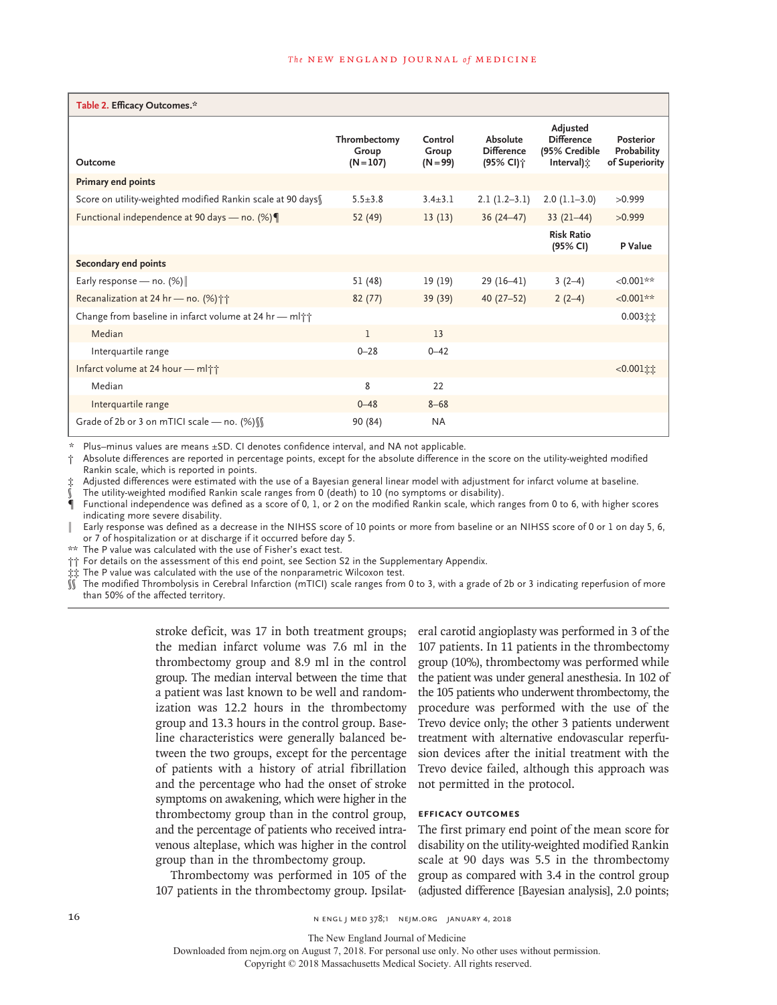| Table 2. Efficacy Outcomes.*                                       |                                      |                                |                                                        |                                                                       |                                                   |
|--------------------------------------------------------------------|--------------------------------------|--------------------------------|--------------------------------------------------------|-----------------------------------------------------------------------|---------------------------------------------------|
| Outcome                                                            | Thrombectomy<br>Group<br>$(N = 107)$ | Control<br>Group<br>$(N = 99)$ | Absolute<br><b>Difference</b><br>(95% CI) <sup>+</sup> | Adjusted<br><b>Difference</b><br>(95% Credible<br>Interval) $\hat{x}$ | <b>Posterior</b><br>Probability<br>of Superiority |
| Primary end points                                                 |                                      |                                |                                                        |                                                                       |                                                   |
| Score on utility-weighted modified Rankin scale at 90 days         | $5.5 \pm 3.8$                        | $3.4 + 3.1$                    | $2.1(1.2-3.1)$                                         | $2.0(1.1-3.0)$                                                        | >0.999                                            |
| Functional independence at 90 days - no. (%)                       | 52 (49)                              | 13(13)                         | $36(24-47)$                                            | $33(21-44)$                                                           | >0.999                                            |
|                                                                    |                                      |                                |                                                        | <b>Risk Ratio</b><br>(95% CI)                                         | P Value                                           |
| Secondary end points                                               |                                      |                                |                                                        |                                                                       |                                                   |
| Early response - no. $(\%)$                                        | 51 (48)                              | 19 (19)                        | $29(16-41)$                                            | $3(2-4)$                                                              | $< 0.001**$                                       |
| Recanalization at 24 hr - no. (%) † †                              | 82(77)                               | 39 (39)                        | $40(27-52)$                                            | $2(2-4)$                                                              | $< 0.001**$                                       |
| Change from baseline in infarct volume at 24 hr - ml <sup>++</sup> |                                      |                                |                                                        |                                                                       | $0.003$ it                                        |
| Median                                                             | $\mathbf{1}$                         | 13                             |                                                        |                                                                       |                                                   |
| Interquartile range                                                | $0 - 28$                             | $0 - 42$                       |                                                        |                                                                       |                                                   |
| Infarct volume at 24 hour - ml <sup>++</sup>                       |                                      |                                |                                                        |                                                                       | $<0.001$ it                                       |
| Median                                                             | 8                                    | 22                             |                                                        |                                                                       |                                                   |
| Interquartile range                                                | $0 - 48$                             | $8 - 68$                       |                                                        |                                                                       |                                                   |
| Grade of 2b or 3 on mTICI scale - no. $(%)$                        | 90 (84)                              | <b>NA</b>                      |                                                        |                                                                       |                                                   |

Plus–minus values are means ±SD. CI denotes confidence interval, and NA not applicable.

† Absolute differences are reported in percentage points, except for the absolute difference in the score on the utility-weighted modified Rankin scale, which is reported in points.

Adjusted differences were estimated with the use of a Bayesian general linear model with adjustment for infarct volume at baseline.

The utility-weighted modified Rankin scale ranges from 0 (death) to 10 (no symptoms or disability).

Functional independence was defined as a score of 0, 1, or 2 on the modified Rankin scale, which ranges from 0 to 6, with higher scores indicating more severe disability.

∥ Early response was defined as a decrease in the NIHSS score of 10 points or more from baseline or an NIHSS score of 0 or 1 on day 5, 6, or 7 of hospitalization or at discharge if it occurred before day 5.

\*\* The P value was calculated with the use of Fisher's exact test.

†† For details on the assessment of this end point, see Section S2 in the Supplementary Appendix.

‡‡ The P value was calculated with the use of the nonparametric Wilcoxon test.

The modified Thrombolysis in Cerebral Infarction (mTICI) scale ranges from 0 to 3, with a grade of 2b or 3 indicating reperfusion of more than 50% of the affected territory.

> stroke deficit, was 17 in both treatment groups; the median infarct volume was 7.6 ml in the thrombectomy group and 8.9 ml in the control group. The median interval between the time that a patient was last known to be well and randomization was 12.2 hours in the thrombectomy group and 13.3 hours in the control group. Baseline characteristics were generally balanced between the two groups, except for the percentage of patients with a history of atrial fibrillation and the percentage who had the onset of stroke symptoms on awakening, which were higher in the thrombectomy group than in the control group, and the percentage of patients who received intravenous alteplase, which was higher in the control group than in the thrombectomy group.

> Thrombectomy was performed in 105 of the 107 patients in the thrombectomy group. Ipsilat-

eral carotid angioplasty was performed in 3 of the 107 patients. In 11 patients in the thrombectomy group (10%), thrombectomy was performed while the patient was under general anesthesia. In 102 of the 105 patients who underwent thrombectomy, the procedure was performed with the use of the Trevo device only; the other 3 patients underwent treatment with alternative endovascular reperfusion devices after the initial treatment with the Trevo device failed, although this approach was not permitted in the protocol.

#### **Efficacy Outcomes**

The first primary end point of the mean score for disability on the utility-weighted modified Rankin scale at 90 days was 5.5 in the thrombectomy group as compared with 3.4 in the control group (adjusted difference [Bayesian analysis], 2.0 points;

16 n engl j med 378;1 nejm.org January 4, 2018

The New England Journal of Medicine

Copyright © 2018 Massachusetts Medical Society. All rights reserved.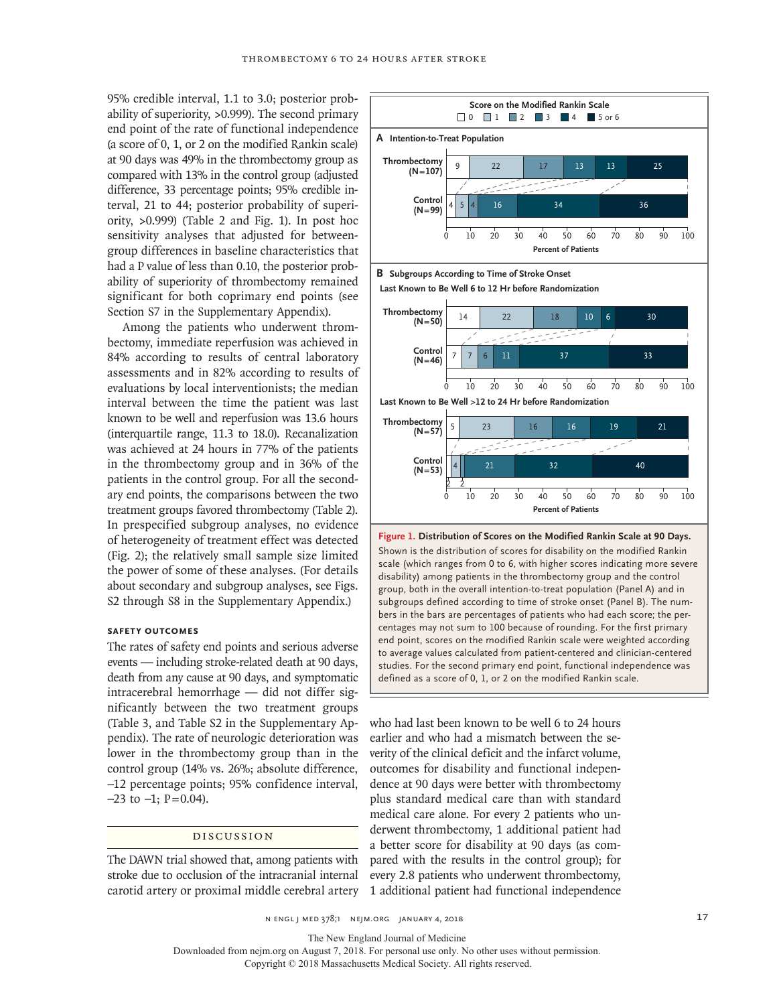95% credible interval, 1.1 to 3.0; posterior probability of superiority, >0.999). The second primary end point of the rate of functional independence (a score of 0, 1, or 2 on the modified Rankin scale) at 90 days was 49% in the thrombectomy group as compared with 13% in the control group (adjusted difference, 33 percentage points; 95% credible interval, 21 to 44; posterior probability of superiority, >0.999) (Table 2 and Fig. 1). In post hoc sensitivity analyses that adjusted for betweengroup differences in baseline characteristics that had a P value of less than 0.10, the posterior probability of superiority of thrombectomy remained significant for both coprimary end points (see Section S7 in the Supplementary Appendix).

Among the patients who underwent thrombectomy, immediate reperfusion was achieved in 84% according to results of central laboratory assessments and in 82% according to results of evaluations by local interventionists; the median interval between the time the patient was last known to be well and reperfusion was 13.6 hours (interquartile range, 11.3 to 18.0). Recanalization was achieved at 24 hours in 77% of the patients in the thrombectomy group and in 36% of the patients in the control group. For all the secondary end points, the comparisons between the two treatment groups favored thrombectomy (Table 2). In prespecified subgroup analyses, no evidence of heterogeneity of treatment effect was detected (Fig. 2); the relatively small sample size limited the power of some of these analyses. (For details about secondary and subgroup analyses, see Figs. S2 through S8 in the Supplementary Appendix.)

# **Safety Outcomes**

The rates of safety end points and serious adverse events — including stroke-related death at 90 days, death from any cause at 90 days, and symptomatic intracerebral hemorrhage — did not differ significantly between the two treatment groups (Table 3, and Table S2 in the Supplementary Appendix). The rate of neurologic deterioration was lower in the thrombectomy group than in the control group (14% vs. 26%; absolute difference, −12 percentage points; 95% confidence interval,  $-23$  to  $-1$ ; P=0.04).

#### Discussion

The DAWN trial showed that, among patients with stroke due to occlusion of the intracranial internal



studies. For the second primary end point, functional independence was defined as a score of 0, 1, or 2 on the modified Rankin scale.

carotid artery or proximal middle cerebral artery 1 additional patient had functional independence who had last been known to be well 6 to 24 hours earlier and who had a mismatch between the severity of the clinical deficit and the infarct volume, outcomes for disability and functional independence at 90 days were better with thrombectomy plus standard medical care than with standard medical care alone. For every 2 patients who underwent thrombectomy, 1 additional patient had a better score for disability at 90 days (as compared with the results in the control group); for every 2.8 patients who underwent thrombectomy,

n engl j med 378;1 nejm.org January 4, 2018 17

The New England Journal of Medicine

Downloaded from nejm.org on August 7, 2018. For personal use only. No other uses without permission.

Copyright © 2018 Massachusetts Medical Society. All rights reserved.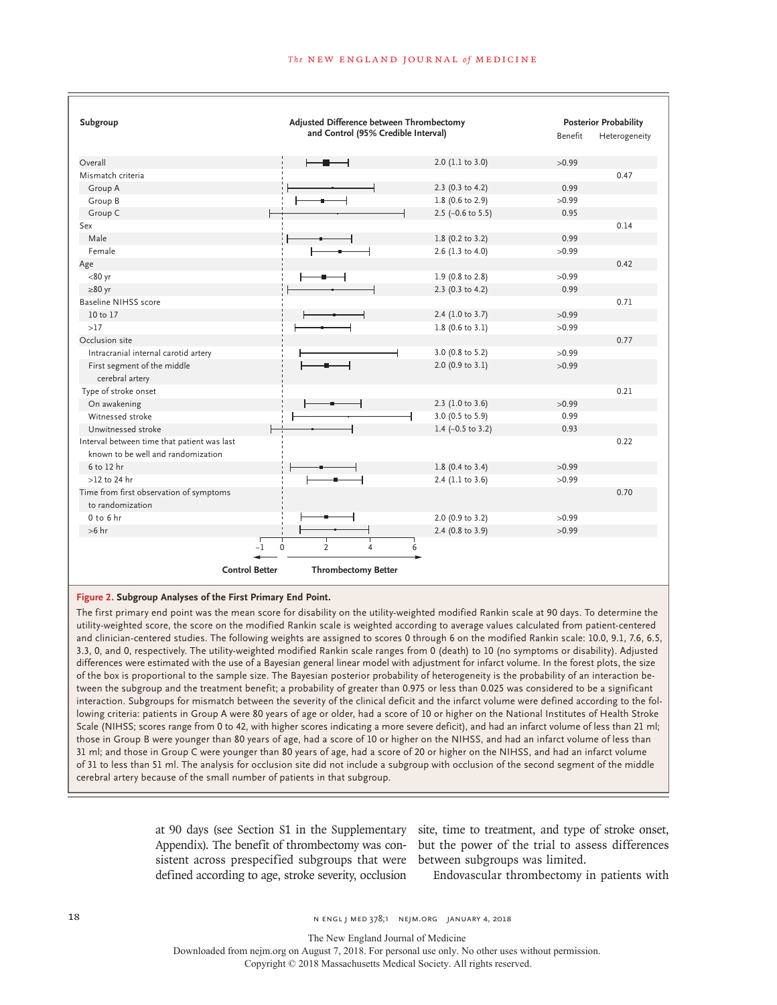| Subgroup                                                                          |                                     | Adjusted Difference between Thrombectomy |         |               |
|-----------------------------------------------------------------------------------|-------------------------------------|------------------------------------------|---------|---------------|
|                                                                                   | and Control (95% Credible Interval) |                                          | Benefit | Heterogeneity |
| Overall                                                                           |                                     | 2.0 (1.1 to 3.0)                         | >0.99   |               |
| Mismatch criteria                                                                 |                                     |                                          |         | 0.47          |
| Group A                                                                           |                                     | 2.3 (0.3 to 4.2)                         | 0.99    |               |
| Group B                                                                           |                                     | 1.8 (0.6 to 2.9)                         | >0.99   |               |
| Group C                                                                           |                                     | $2.5$ (-0.6 to 5.5)                      | 0.95    |               |
| Sex                                                                               |                                     |                                          |         | 0.14          |
| Male                                                                              |                                     | 1.8 (0.2 to 3.2)                         | 0.99    |               |
| Female                                                                            |                                     | 2.6 (1.3 to 4.0)                         | >0.99   |               |
| Age                                                                               |                                     |                                          |         | 0.42          |
| $< 80$ yr                                                                         |                                     | 1.9 (0.8 to 2.8)                         | >0.99   |               |
| $\geq 80$ yr                                                                      |                                     | 2.3 (0.3 to 4.2)                         | 0.99    |               |
| <b>Baseline NIHSS score</b>                                                       |                                     |                                          |         | 0.71          |
| 10 to 17                                                                          |                                     | 2.4 (1.0 to 3.7)                         | >0.99   |               |
| >17                                                                               |                                     | $1.8$ (0.6 to 3.1)                       | >0.99   |               |
| Occlusion site                                                                    |                                     |                                          |         | 0.77          |
| Intracranial internal carotid artery                                              |                                     | 3.0 (0.8 to 5.2)                         | >0.99   |               |
| First segment of the middle<br>cerebral artery                                    |                                     | 2.0 (0.9 to 3.1)                         | >0.99   |               |
| Type of stroke onset                                                              |                                     |                                          |         | 0.21          |
| On awakening                                                                      |                                     | $2.3$ (1.0 to 3.6)                       | >0.99   |               |
| Witnessed stroke                                                                  |                                     | 3.0 (0.5 to 5.9)                         | 0.99    |               |
| Unwitnessed stroke                                                                |                                     | 1.4 $(-0.5 \text{ to } 3.2)$             | 0.93    |               |
| Interval between time that patient was last<br>known to be well and randomization |                                     |                                          |         | 0.22          |
| 6 to 12 hr                                                                        |                                     | 1.8 (0.4 to 3.4)                         | >0.99   |               |
| $>12$ to 24 hr                                                                    |                                     | 2.4 (1.1 to 3.6)                         | >0.99   |               |
| Time from first observation of symptoms<br>to randomization                       |                                     |                                          |         | 0.70          |
| $0$ to $6$ hr                                                                     |                                     | 2.0 (0.9 to 3.2)                         | >0.99   |               |
| $>6$ hr                                                                           |                                     | 2.4 (0.8 to 3.9)                         | >0.99   |               |
| $-1$                                                                              | $\overline{2}$<br>$\mathbf 0$<br>4  | 6                                        |         |               |
| <b>Control Better</b>                                                             | <b>Thrombectomy Better</b>          |                                          |         |               |

#### **Figure 2. Subgroup Analyses of the First Primary End Point.**

The first primary end point was the mean score for disability on the utility-weighted modified Rankin scale at 90 days. To determine the utility-weighted score, the score on the modified Rankin scale is weighted according to average values calculated from patient-centered and clinician-centered studies. The following weights are assigned to scores 0 through 6 on the modified Rankin scale: 10.0, 9.1, 7.6, 6.5, 3.3, 0, and 0, respectively. The utility-weighted modified Rankin scale ranges from 0 (death) to 10 (no symptoms or disability). Adjusted differences were estimated with the use of a Bayesian general linear model with adjustment for infarct volume. In the forest plots, the size of the box is proportional to the sample size. The Bayesian posterior probability of heterogeneity is the probability of an interaction between the subgroup and the treatment benefit; a probability of greater than 0.975 or less than 0.025 was considered to be a significant interaction. Subgroups for mismatch between the severity of the clinical deficit and the infarct volume were defined according to the following criteria: patients in Group A were 80 years of age or older, had a score of 10 or higher on the National Institutes of Health Stroke Scale (NIHSS; scores range from 0 to 42, with higher scores indicating a more severe deficit), and had an infarct volume of less than 21 ml; those in Group B were younger than 80 years of age, had a score of 10 or higher on the NIHSS, and had an infarct volume of less than 31 ml; and those in Group C were younger than 80 years of age, had a score of 20 or higher on the NIHSS, and had an infarct volume of 31 to less than 51 ml. The analysis for occlusion site did not include a subgroup with occlusion of the second segment of the middle cerebral artery because of the small number of patients in that subgroup.

> at 90 days (see Section S1 in the Supplementary site, time to treatment, and type of stroke onset, sistent across prespecified subgroups that were between subgroups was limited. defined according to age, stroke severity, occlusion

> Appendix). The benefit of thrombectomy was con-but the power of the trial to assess differences

Endovascular thrombectomy in patients with

18 18 19 n engl j med 378;1 NED 378;1 NEJM.ORG JANUARY 4, 2018

The New England Journal of Medicine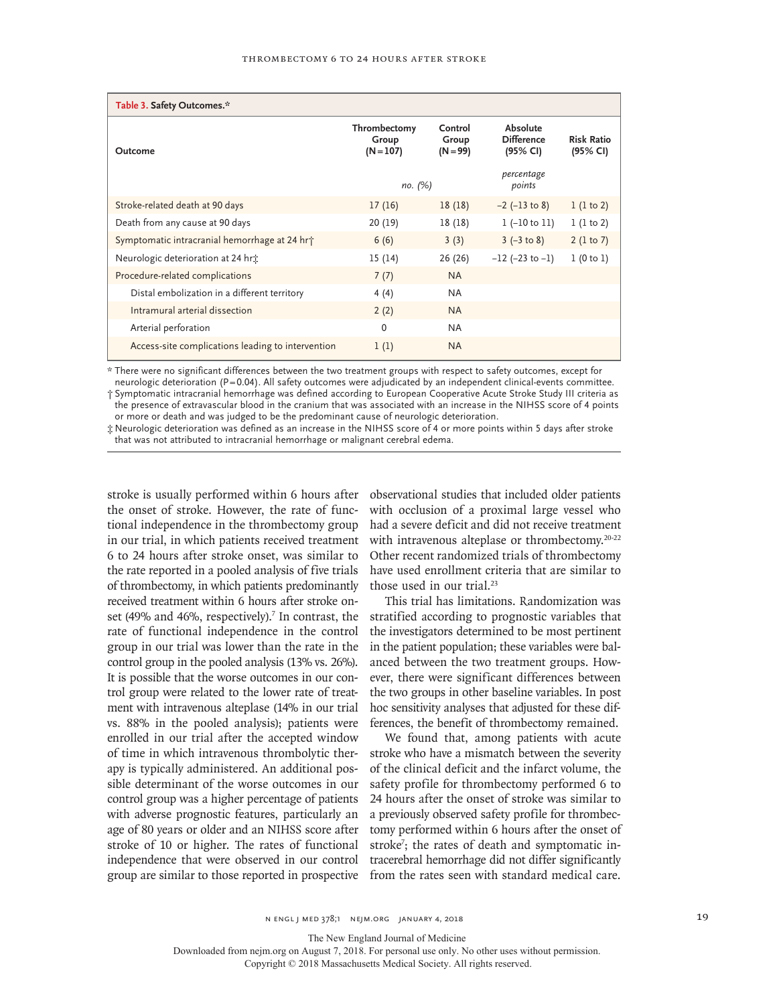| Table 3. Safety Outcomes.*                                |                                      |                                |                                           |                               |
|-----------------------------------------------------------|--------------------------------------|--------------------------------|-------------------------------------------|-------------------------------|
| Outcome                                                   | Thrombectomy<br>Group<br>$(N = 107)$ | Control<br>Group<br>$(N = 99)$ | Absolute<br><b>Difference</b><br>(95% CI) | <b>Risk Ratio</b><br>(95% CI) |
|                                                           | по. (%)                              |                                | percentage<br>points                      |                               |
| Stroke-related death at 90 days                           | 17(16)                               | 18(18)                         | $-2$ ( $-13$ to 8)                        | 1(1 to 2)                     |
| Death from any cause at 90 days                           | 20 (19)                              | 18 (18)                        | $1 (-10 to 11)$                           | 1(1 to 2)                     |
| Symptomatic intracranial hemorrhage at 24 hr <sup>+</sup> | 6(6)                                 | 3(3)                           | $3 (-3 to 8)$                             | 2(1 to 7)                     |
| Neurologic deterioration at 24 hr <sup>*</sup>            | 15 (14)                              | 26 (26)                        | $-12$ ( $-23$ to $-1$ )                   | 1(0 to 1)                     |
| Procedure-related complications                           | 7(7)                                 | <b>NA</b>                      |                                           |                               |
| Distal embolization in a different territory              | 4(4)                                 | <b>NA</b>                      |                                           |                               |
| Intramural arterial dissection                            | 2(2)                                 | <b>NA</b>                      |                                           |                               |
| Arterial perforation                                      | $\mathbf{0}$                         | <b>NA</b>                      |                                           |                               |
| Access-site complications leading to intervention         | 1(1)                                 | <b>NA</b>                      |                                           |                               |

\* There were no significant differences between the two treatment groups with respect to safety outcomes, except for

neurologic deterioration (P=0.04). All safety outcomes were adjudicated by an independent clinical-events committee. † Symptomatic intracranial hemorrhage was defined according to European Cooperative Acute Stroke Study III criteria as the presence of extravascular blood in the cranium that was associated with an increase in the NIHSS score of 4 points

or more or death and was judged to be the predominant cause of neurologic deterioration. ‡ Neurologic deterioration was defined as an increase in the NIHSS score of 4 or more points within 5 days after stroke

that was not attributed to intracranial hemorrhage or malignant cerebral edema.

stroke is usually performed within 6 hours after the onset of stroke. However, the rate of functional independence in the thrombectomy group in our trial, in which patients received treatment 6 to 24 hours after stroke onset, was similar to the rate reported in a pooled analysis of five trials of thrombectomy, in which patients predominantly received treatment within 6 hours after stroke onset (49% and 46%, respectively).<sup>7</sup> In contrast, the rate of functional independence in the control group in our trial was lower than the rate in the control group in the pooled analysis (13% vs. 26%). It is possible that the worse outcomes in our control group were related to the lower rate of treatment with intravenous alteplase (14% in our trial vs. 88% in the pooled analysis); patients were enrolled in our trial after the accepted window of time in which intravenous thrombolytic therapy is typically administered. An additional possible determinant of the worse outcomes in our control group was a higher percentage of patients with adverse prognostic features, particularly an age of 80 years or older and an NIHSS score after stroke of 10 or higher. The rates of functional independence that were observed in our control

observational studies that included older patients with occlusion of a proximal large vessel who had a severe deficit and did not receive treatment with intravenous alteplase or thrombectomy.<sup>20-22</sup> Other recent randomized trials of thrombectomy have used enrollment criteria that are similar to those used in our trial.<sup>23</sup>

This trial has limitations. Randomization was stratified according to prognostic variables that the investigators determined to be most pertinent in the patient population; these variables were balanced between the two treatment groups. However, there were significant differences between the two groups in other baseline variables. In post hoc sensitivity analyses that adjusted for these differences, the benefit of thrombectomy remained.

group are similar to those reported in prospective from the rates seen with standard medical care. We found that, among patients with acute stroke who have a mismatch between the severity of the clinical deficit and the infarct volume, the safety profile for thrombectomy performed 6 to 24 hours after the onset of stroke was similar to a previously observed safety profile for thrombectomy performed within 6 hours after the onset of stroke<sup>7</sup>; the rates of death and symptomatic intracerebral hemorrhage did not differ significantly

n engl j med 378;1 nejm.org January 4, 2018 19

The New England Journal of Medicine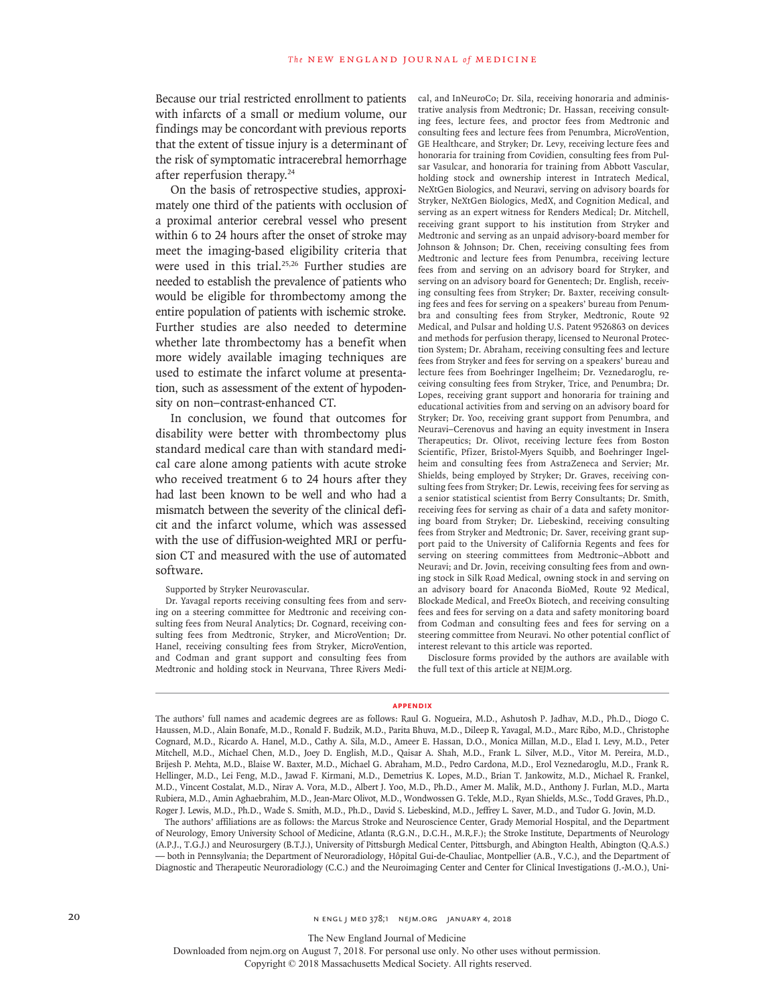Because our trial restricted enrollment to patients with infarcts of a small or medium volume, our findings may be concordant with previous reports that the extent of tissue injury is a determinant of the risk of symptomatic intracerebral hemorrhage after reperfusion therapy.24

On the basis of retrospective studies, approximately one third of the patients with occlusion of a proximal anterior cerebral vessel who present within 6 to 24 hours after the onset of stroke may meet the imaging-based eligibility criteria that were used in this trial.<sup>25,26</sup> Further studies are needed to establish the prevalence of patients who would be eligible for thrombectomy among the entire population of patients with ischemic stroke. Further studies are also needed to determine whether late thrombectomy has a benefit when more widely available imaging techniques are used to estimate the infarct volume at presentation, such as assessment of the extent of hypodensity on non–contrast-enhanced CT.

In conclusion, we found that outcomes for disability were better with thrombectomy plus standard medical care than with standard medical care alone among patients with acute stroke who received treatment 6 to 24 hours after they had last been known to be well and who had a mismatch between the severity of the clinical deficit and the infarct volume, which was assessed with the use of diffusion-weighted MRI or perfusion CT and measured with the use of automated software.

Supported by Stryker Neurovascular.

Dr. Yavagal reports receiving consulting fees from and serving on a steering committee for Medtronic and receiving consulting fees from Neural Analytics; Dr. Cognard, receiving consulting fees from Medtronic, Stryker, and MicroVention; Dr. Hanel, receiving consulting fees from Stryker, MicroVention, and Codman and grant support and consulting fees from Medtronic and holding stock in Neurvana, Three Rivers Medical, and InNeuroCo; Dr. Sila, receiving honoraria and administrative analysis from Medtronic; Dr. Hassan, receiving consulting fees, lecture fees, and proctor fees from Medtronic and consulting fees and lecture fees from Penumbra, MicroVention, GE Healthcare, and Stryker; Dr. Levy, receiving lecture fees and honoraria for training from Covidien, consulting fees from Pulsar Vasulcar, and honoraria for training from Abbott Vascular, holding stock and ownership interest in Intratech Medical, NeXtGen Biologics, and Neuravi, serving on advisory boards for Stryker, NeXtGen Biologics, MedX, and Cognition Medical, and serving as an expert witness for Renders Medical; Dr. Mitchell, receiving grant support to his institution from Stryker and Medtronic and serving as an unpaid advisory-board member for Johnson & Johnson; Dr. Chen, receiving consulting fees from Medtronic and lecture fees from Penumbra, receiving lecture fees from and serving on an advisory board for Stryker, and serving on an advisory board for Genentech; Dr. English, receiving consulting fees from Stryker; Dr. Baxter, receiving consulting fees and fees for serving on a speakers' bureau from Penumbra and consulting fees from Stryker, Medtronic, Route 92 Medical, and Pulsar and holding U.S. Patent 9526863 on devices and methods for perfusion therapy, licensed to Neuronal Protection System; Dr. Abraham, receiving consulting fees and lecture fees from Stryker and fees for serving on a speakers' bureau and lecture fees from Boehringer Ingelheim; Dr. Veznedaroglu, receiving consulting fees from Stryker, Trice, and Penumbra; Dr. Lopes, receiving grant support and honoraria for training and educational activities from and serving on an advisory board for Stryker; Dr. Yoo, receiving grant support from Penumbra, and Neuravi–Cerenovus and having an equity investment in Insera Therapeutics; Dr. Olivot, receiving lecture fees from Boston Scientific, Pfizer, Bristol-Myers Squibb, and Boehringer Ingelheim and consulting fees from AstraZeneca and Servier; Mr. Shields, being employed by Stryker; Dr. Graves, receiving consulting fees from Stryker; Dr. Lewis, receiving fees for serving as a senior statistical scientist from Berry Consultants; Dr. Smith, receiving fees for serving as chair of a data and safety monitoring board from Stryker; Dr. Liebeskind, receiving consulting fees from Stryker and Medtronic; Dr. Saver, receiving grant support paid to the University of California Regents and fees for serving on steering committees from Medtronic–Abbott and Neuravi; and Dr. Jovin, receiving consulting fees from and owning stock in Silk Road Medical, owning stock in and serving on an advisory board for Anaconda BioMed, Route 92 Medical, Blockade Medical, and FreeOx Biotech, and receiving consulting fees and fees for serving on a data and safety monitoring board from Codman and consulting fees and fees for serving on a steering committee from Neuravi. No other potential conflict of interest relevant to this article was reported.

Disclosure forms provided by the authors are available with the full text of this article at NEJM.org.

#### **Appendix**

The authors' full names and academic degrees are as follows: Raul G. Nogueira, M.D., Ashutosh P. Jadhav, M.D., Ph.D., Diogo C. Haussen, M.D., Alain Bonafe, M.D., Ronald F. Budzik, M.D., Parita Bhuva, M.D., Dileep R. Yavagal, M.D., Marc Ribo, M.D., Christophe Cognard, M.D., Ricardo A. Hanel, M.D., Cathy A. Sila, M.D., Ameer E. Hassan, D.O., Monica Millan, M.D., Elad I. Levy, M.D., Peter Mitchell, M.D., Michael Chen, M.D., Joey D. English, M.D., Qaisar A. Shah, M.D., Frank L. Silver, M.D., Vitor M. Pereira, M.D., Brijesh P. Mehta, M.D., Blaise W. Baxter, M.D., Michael G. Abraham, M.D., Pedro Cardona, M.D., Erol Veznedaroglu, M.D., Frank R. Hellinger, M.D., Lei Feng, M.D., Jawad F. Kirmani, M.D., Demetrius K. Lopes, M.D., Brian T. Jankowitz, M.D., Michael R. Frankel, M.D., Vincent Costalat, M.D., Nirav A. Vora, M.D., Albert J. Yoo, M.D., Ph.D., Amer M. Malik, M.D., Anthony J. Furlan, M.D., Marta Rubiera, M.D., Amin Aghaebrahim, M.D., Jean-Marc Olivot, M.D., Wondwossen G. Tekle, M.D., Ryan Shields, M.Sc., Todd Graves, Ph.D., Roger J. Lewis, M.D., Ph.D., Wade S. Smith, M.D., Ph.D., David S. Liebeskind, M.D., Jeffrey L. Saver, M.D., and Tudor G. Jovin, M.D.

The authors' affiliations are as follows: the Marcus Stroke and Neuroscience Center, Grady Memorial Hospital, and the Department of Neurology, Emory University School of Medicine, Atlanta (R.G.N., D.C.H., M.R.F.); the Stroke Institute, Departments of Neurology (A.P.J., T.G.J.) and Neurosurgery (B.T.J.), University of Pittsburgh Medical Center, Pittsburgh, and Abington Health, Abington (Q.A.S.) — both in Pennsylvania; the Department of Neuroradiology, Hôpital Gui-de-Chauliac, Montpellier (A.B., V.C.), and the Department of Diagnostic and Therapeutic Neuroradiology (C.C.) and the Neuroimaging Center and Center for Clinical Investigations (J.-M.O.), Uni-

20 **20** N ENGL J MED 378;1 NEJM.ORG JANUARY 4, 2018

The New England Journal of Medicine